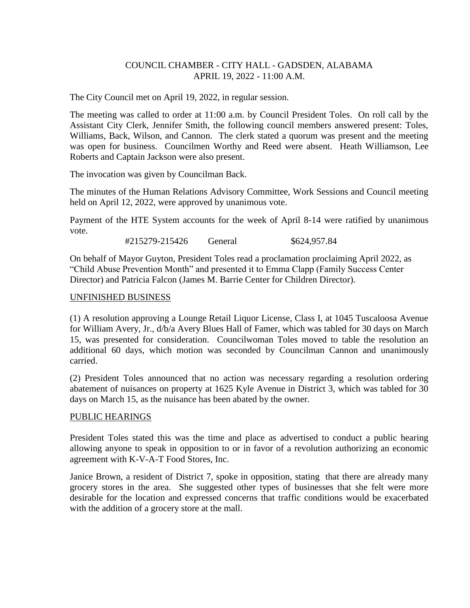## COUNCIL CHAMBER - CITY HALL - GADSDEN, ALABAMA APRIL 19, 2022 - 11:00 A.M.

The City Council met on April 19, 2022, in regular session.

The meeting was called to order at 11:00 a.m. by Council President Toles. On roll call by the Assistant City Clerk, Jennifer Smith, the following council members answered present: Toles, Williams, Back, Wilson, and Cannon. The clerk stated a quorum was present and the meeting was open for business. Councilmen Worthy and Reed were absent. Heath Williamson, Lee Roberts and Captain Jackson were also present.

The invocation was given by Councilman Back.

The minutes of the Human Relations Advisory Committee, Work Sessions and Council meeting held on April 12, 2022, were approved by unanimous vote.

Payment of the HTE System accounts for the week of April 8-14 were ratified by unanimous vote.

#215279-215426 General \$624,957.84

On behalf of Mayor Guyton, President Toles read a proclamation proclaiming April 2022, as "Child Abuse Prevention Month" and presented it to Emma Clapp (Family Success Center Director) and Patricia Falcon (James M. Barrie Center for Children Director).

### UNFINISHED BUSINESS

(1) A resolution approving a Lounge Retail Liquor License, Class I, at 1045 Tuscaloosa Avenue for William Avery, Jr., d/b/a Avery Blues Hall of Famer, which was tabled for 30 days on March 15, was presented for consideration. Councilwoman Toles moved to table the resolution an additional 60 days, which motion was seconded by Councilman Cannon and unanimously carried.

(2) President Toles announced that no action was necessary regarding a resolution ordering abatement of nuisances on property at 1625 Kyle Avenue in District 3, which was tabled for 30 days on March 15, as the nuisance has been abated by the owner.

### PUBLIC HEARINGS

President Toles stated this was the time and place as advertised to conduct a public hearing allowing anyone to speak in opposition to or in favor of a revolution authorizing an economic agreement with K-V-A-T Food Stores, Inc.

Janice Brown, a resident of District 7, spoke in opposition, stating that there are already many grocery stores in the area. She suggested other types of businesses that she felt were more desirable for the location and expressed concerns that traffic conditions would be exacerbated with the addition of a grocery store at the mall.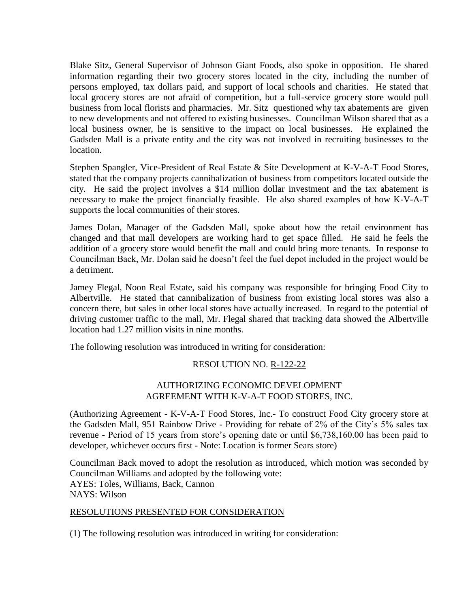Blake Sitz, General Supervisor of Johnson Giant Foods, also spoke in opposition. He shared information regarding their two grocery stores located in the city, including the number of persons employed, tax dollars paid, and support of local schools and charities. He stated that local grocery stores are not afraid of competition, but a full-service grocery store would pull business from local florists and pharmacies. Mr. Sitz questioned why tax abatements are given to new developments and not offered to existing businesses. Councilman Wilson shared that as a local business owner, he is sensitive to the impact on local businesses. He explained the Gadsden Mall is a private entity and the city was not involved in recruiting businesses to the location.

Stephen Spangler, Vice-President of Real Estate & Site Development at K-V-A-T Food Stores, stated that the company projects cannibalization of business from competitors located outside the city. He said the project involves a \$14 million dollar investment and the tax abatement is necessary to make the project financially feasible. He also shared examples of how K-V-A-T supports the local communities of their stores.

James Dolan, Manager of the Gadsden Mall, spoke about how the retail environment has changed and that mall developers are working hard to get space filled. He said he feels the addition of a grocery store would benefit the mall and could bring more tenants. In response to Councilman Back, Mr. Dolan said he doesn't feel the fuel depot included in the project would be a detriment.

Jamey Flegal, Noon Real Estate, said his company was responsible for bringing Food City to Albertville. He stated that cannibalization of business from existing local stores was also a concern there, but sales in other local stores have actually increased. In regard to the potential of driving customer traffic to the mall, Mr. Flegal shared that tracking data showed the Albertville location had 1.27 million visits in nine months.

The following resolution was introduced in writing for consideration:

# RESOLUTION NO. R-122-22

## AUTHORIZING ECONOMIC DEVELOPMENT AGREEMENT WITH K-V-A-T FOOD STORES, INC.

(Authorizing Agreement - K-V-A-T Food Stores, Inc.- To construct Food City grocery store at the Gadsden Mall, 951 Rainbow Drive - Providing for rebate of 2% of the City's 5% sales tax revenue - Period of 15 years from store's opening date or until \$6,738,160.00 has been paid to developer, whichever occurs first - Note: Location is former Sears store)

Councilman Back moved to adopt the resolution as introduced, which motion was seconded by Councilman Williams and adopted by the following vote: AYES: Toles, Williams, Back, Cannon NAYS: Wilson

### RESOLUTIONS PRESENTED FOR CONSIDERATION

(1) The following resolution was introduced in writing for consideration: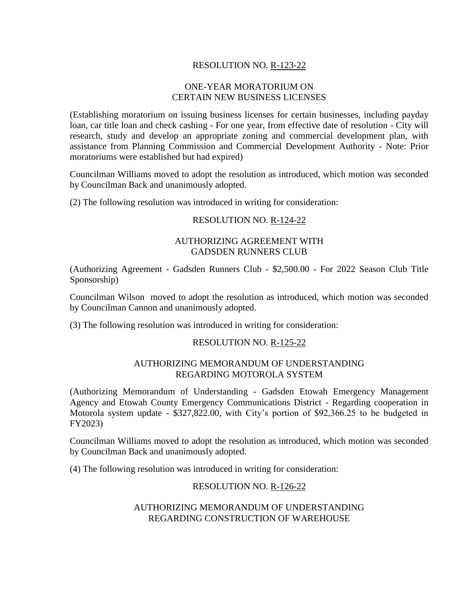# RESOLUTION NO. R-123-22

#### ONE-YEAR MORATORIUM ON CERTAIN NEW BUSINESS LICENSES

(Establishing moratorium on issuing business licenses for certain businesses, including payday loan, car title loan and check cashing - For one year, from effective date of resolution - City will research, study and develop an appropriate zoning and commercial development plan, with assistance from Planning Commission and Commercial Development Authority - Note: Prior moratoriums were established but had expired)

Councilman Williams moved to adopt the resolution as introduced, which motion was seconded by Councilman Back and unanimously adopted.

(2) The following resolution was introduced in writing for consideration:

#### RESOLUTION NO. R-124-22

#### AUTHORIZING AGREEMENT WITH GADSDEN RUNNERS CLUB

(Authorizing Agreement - Gadsden Runners Club - \$2,500.00 - For 2022 Season Club Title Sponsorship)

Councilman Wilson moved to adopt the resolution as introduced, which motion was seconded by Councilman Cannon and unanimously adopted.

(3) The following resolution was introduced in writing for consideration:

### RESOLUTION NO. R-125-22

#### AUTHORIZING MEMORANDUM OF UNDERSTANDING REGARDING MOTOROLA SYSTEM

(Authorizing Memorandum of Understanding - Gadsden Etowah Emergency Management Agency and Etowah County Emergency Communications District - Regarding cooperation in Motorola system update - \$327,822.00, with City's portion of \$92,366.25 to be budgeted in FY2023)

Councilman Williams moved to adopt the resolution as introduced, which motion was seconded by Councilman Back and unanimously adopted.

(4) The following resolution was introduced in writing for consideration:

### RESOLUTION NO. R-126-22

#### AUTHORIZING MEMORANDUM OF UNDERSTANDING REGARDING CONSTRUCTION OF WAREHOUSE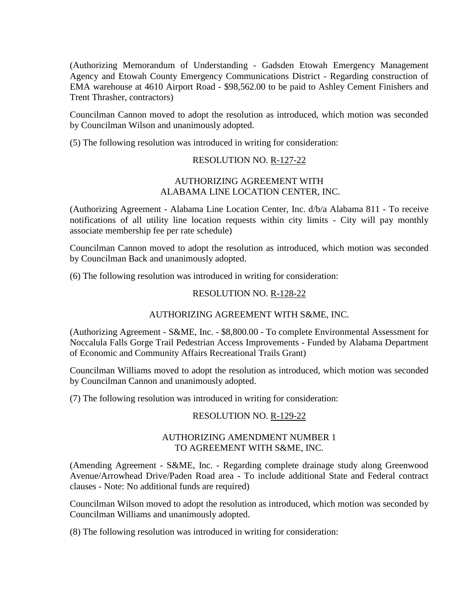(Authorizing Memorandum of Understanding - Gadsden Etowah Emergency Management Agency and Etowah County Emergency Communications District - Regarding construction of EMA warehouse at 4610 Airport Road - \$98,562.00 to be paid to Ashley Cement Finishers and Trent Thrasher, contractors)

Councilman Cannon moved to adopt the resolution as introduced, which motion was seconded by Councilman Wilson and unanimously adopted.

(5) The following resolution was introduced in writing for consideration:

### RESOLUTION NO. R-127-22

## AUTHORIZING AGREEMENT WITH ALABAMA LINE LOCATION CENTER, INC.

(Authorizing Agreement - Alabama Line Location Center, Inc. d/b/a Alabama 811 - To receive notifications of all utility line location requests within city limits - City will pay monthly associate membership fee per rate schedule)

Councilman Cannon moved to adopt the resolution as introduced, which motion was seconded by Councilman Back and unanimously adopted.

(6) The following resolution was introduced in writing for consideration:

### RESOLUTION NO. R-128-22

### AUTHORIZING AGREEMENT WITH S&ME, INC.

(Authorizing Agreement - S&ME, Inc. - \$8,800.00 - To complete Environmental Assessment for Noccalula Falls Gorge Trail Pedestrian Access Improvements - Funded by Alabama Department of Economic and Community Affairs Recreational Trails Grant)

Councilman Williams moved to adopt the resolution as introduced, which motion was seconded by Councilman Cannon and unanimously adopted.

(7) The following resolution was introduced in writing for consideration:

### RESOLUTION NO. R-129-22

### AUTHORIZING AMENDMENT NUMBER 1 TO AGREEMENT WITH S&ME, INC.

(Amending Agreement - S&ME, Inc. - Regarding complete drainage study along Greenwood Avenue/Arrowhead Drive/Paden Road area - To include additional State and Federal contract clauses - Note: No additional funds are required)

Councilman Wilson moved to adopt the resolution as introduced, which motion was seconded by Councilman Williams and unanimously adopted.

(8) The following resolution was introduced in writing for consideration: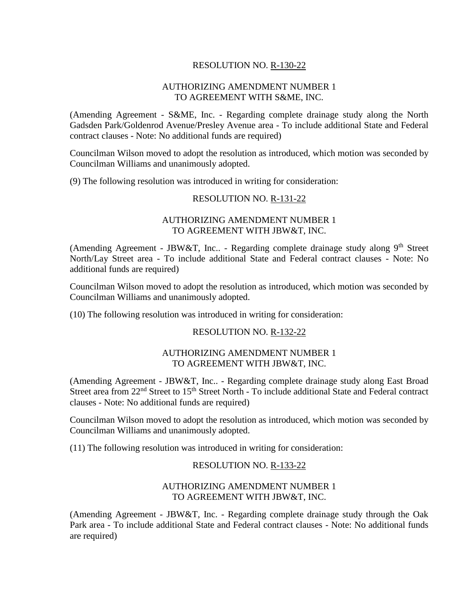## RESOLUTION NO. R-130-22

### AUTHORIZING AMENDMENT NUMBER 1 TO AGREEMENT WITH S&ME, INC.

(Amending Agreement - S&ME, Inc. - Regarding complete drainage study along the North Gadsden Park/Goldenrod Avenue/Presley Avenue area - To include additional State and Federal contract clauses - Note: No additional funds are required)

Councilman Wilson moved to adopt the resolution as introduced, which motion was seconded by Councilman Williams and unanimously adopted.

(9) The following resolution was introduced in writing for consideration:

#### RESOLUTION NO. R-131-22

## AUTHORIZING AMENDMENT NUMBER 1 TO AGREEMENT WITH JBW&T, INC.

(Amending Agreement - JBW&T, Inc.. - Regarding complete drainage study along  $9<sup>th</sup>$  Street North/Lay Street area - To include additional State and Federal contract clauses - Note: No additional funds are required)

Councilman Wilson moved to adopt the resolution as introduced, which motion was seconded by Councilman Williams and unanimously adopted.

(10) The following resolution was introduced in writing for consideration:

### RESOLUTION NO. R-132-22

#### AUTHORIZING AMENDMENT NUMBER 1 TO AGREEMENT WITH JBW&T, INC.

(Amending Agreement - JBW&T, Inc.. - Regarding complete drainage study along East Broad Street area from 22<sup>nd</sup> Street to 15<sup>th</sup> Street North - To include additional State and Federal contract clauses - Note: No additional funds are required)

Councilman Wilson moved to adopt the resolution as introduced, which motion was seconded by Councilman Williams and unanimously adopted.

(11) The following resolution was introduced in writing for consideration:

#### RESOLUTION NO. R-133-22

### AUTHORIZING AMENDMENT NUMBER 1 TO AGREEMENT WITH JBW&T, INC.

(Amending Agreement - JBW&T, Inc. - Regarding complete drainage study through the Oak Park area - To include additional State and Federal contract clauses - Note: No additional funds are required)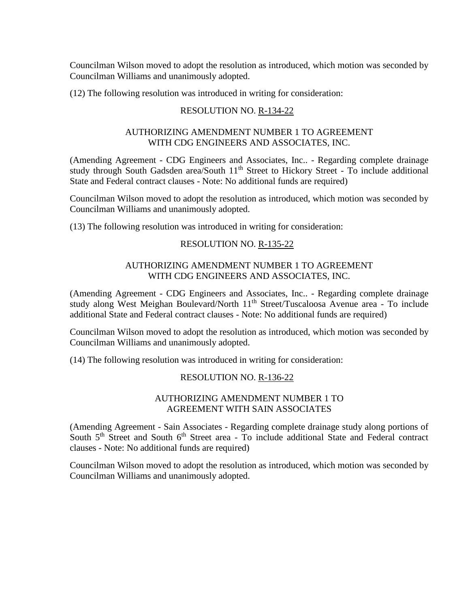Councilman Wilson moved to adopt the resolution as introduced, which motion was seconded by Councilman Williams and unanimously adopted.

(12) The following resolution was introduced in writing for consideration:

## RESOLUTION NO. R-134-22

### AUTHORIZING AMENDMENT NUMBER 1 TO AGREEMENT WITH CDG ENGINEERS AND ASSOCIATES, INC.

(Amending Agreement - CDG Engineers and Associates, Inc.. - Regarding complete drainage study through South Gadsden area/South 11<sup>th</sup> Street to Hickory Street - To include additional State and Federal contract clauses - Note: No additional funds are required)

Councilman Wilson moved to adopt the resolution as introduced, which motion was seconded by Councilman Williams and unanimously adopted.

(13) The following resolution was introduced in writing for consideration:

## RESOLUTION NO. R-135-22

## AUTHORIZING AMENDMENT NUMBER 1 TO AGREEMENT WITH CDG ENGINEERS AND ASSOCIATES, INC.

(Amending Agreement - CDG Engineers and Associates, Inc.. - Regarding complete drainage study along West Meighan Boulevard/North 11th Street/Tuscaloosa Avenue area - To include additional State and Federal contract clauses - Note: No additional funds are required)

Councilman Wilson moved to adopt the resolution as introduced, which motion was seconded by Councilman Williams and unanimously adopted.

(14) The following resolution was introduced in writing for consideration:

### RESOLUTION NO. R-136-22

## AUTHORIZING AMENDMENT NUMBER 1 TO AGREEMENT WITH SAIN ASSOCIATES

(Amending Agreement - Sain Associates - Regarding complete drainage study along portions of South 5<sup>th</sup> Street and South 6<sup>th</sup> Street area - To include additional State and Federal contract clauses - Note: No additional funds are required)

Councilman Wilson moved to adopt the resolution as introduced, which motion was seconded by Councilman Williams and unanimously adopted.